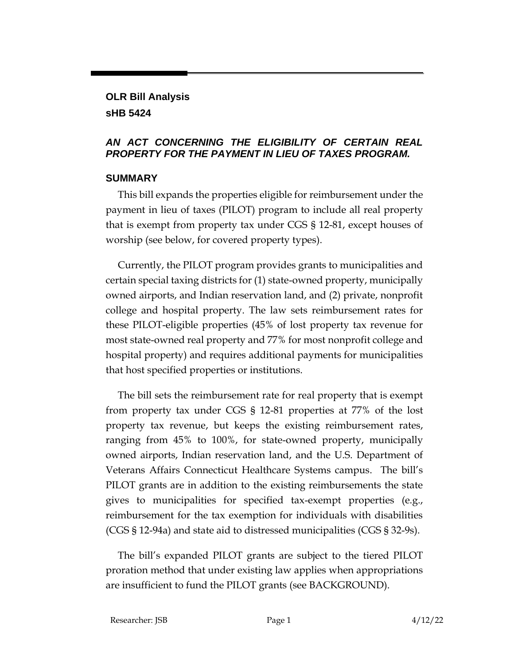## **OLR Bill Analysis sHB 5424**

## *AN ACT CONCERNING THE ELIGIBILITY OF CERTAIN REAL PROPERTY FOR THE PAYMENT IN LIEU OF TAXES PROGRAM.*

## **SUMMARY**

This bill expands the properties eligible for reimbursement under the payment in lieu of taxes (PILOT) program to include all real property that is exempt from property tax under CGS § 12-81, except houses of worship (see below, for covered property types).

Currently, the PILOT program provides grants to municipalities and certain special taxing districts for (1) state-owned property, municipally owned airports, and Indian reservation land, and (2) private, nonprofit college and hospital property. The law sets reimbursement rates for these PILOT-eligible properties (45% of lost property tax revenue for most state-owned real property and 77% for most nonprofit college and hospital property) and requires additional payments for municipalities that host specified properties or institutions.

The bill sets the reimbursement rate for real property that is exempt from property tax under CGS § 12-81 properties at 77% of the lost property tax revenue, but keeps the existing reimbursement rates, ranging from 45% to 100%, for state-owned property, municipally owned airports, Indian reservation land, and the U.S. Department of Veterans Affairs Connecticut Healthcare Systems campus. The bill's PILOT grants are in addition to the existing reimbursements the state gives to municipalities for specified tax-exempt properties (e.g., reimbursement for the tax exemption for individuals with disabilities (CGS § 12-94a) and state aid to distressed municipalities (CGS § 32-9s).

The bill's expanded PILOT grants are subject to the tiered PILOT proration method that under existing law applies when appropriations are insufficient to fund the PILOT grants (see BACKGROUND).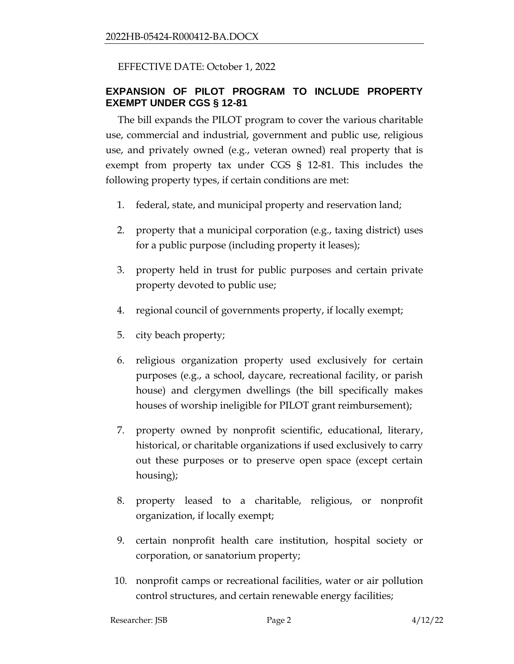## EFFECTIVE DATE: October 1, 2022

## **EXPANSION OF PILOT PROGRAM TO INCLUDE PROPERTY EXEMPT UNDER CGS § 12-81**

The bill expands the PILOT program to cover the various charitable use, commercial and industrial, government and public use, religious use, and privately owned (e.g., veteran owned) real property that is exempt from property tax under CGS § 12-81. This includes the following property types, if certain conditions are met:

- 1. federal, state, and municipal property and reservation land;
- 2. property that a municipal corporation (e.g., taxing district) uses for a public purpose (including property it leases);
- 3. property held in trust for public purposes and certain private property devoted to public use;
- 4. regional council of governments property, if locally exempt;
- 5. city beach property;
- 6. religious organization property used exclusively for certain purposes (e.g., a school, daycare, recreational facility, or parish house) and clergymen dwellings (the bill specifically makes houses of worship ineligible for PILOT grant reimbursement);
- 7. property owned by nonprofit scientific, educational, literary, historical, or charitable organizations if used exclusively to carry out these purposes or to preserve open space (except certain housing);
- 8. property leased to a charitable, religious, or nonprofit organization, if locally exempt;
- 9. certain nonprofit health care institution, hospital society or corporation, or sanatorium property;
- 10. nonprofit camps or recreational facilities, water or air pollution control structures, and certain renewable energy facilities;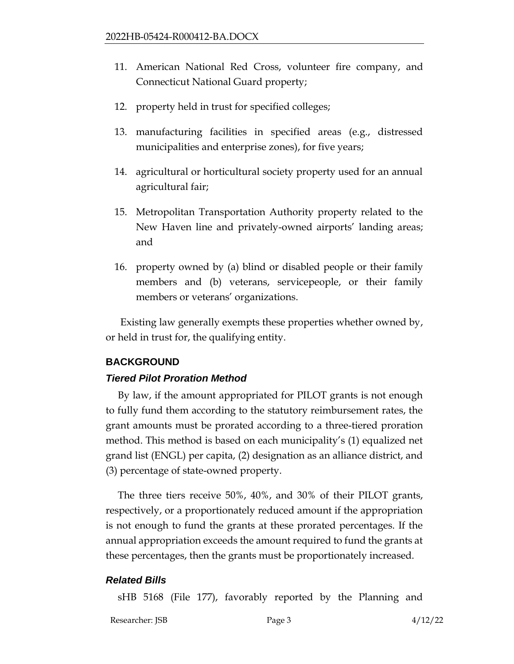- 11. American National Red Cross, volunteer fire company, and Connecticut National Guard property;
- 12. property held in trust for specified colleges;
- 13. manufacturing facilities in specified areas (e.g., distressed municipalities and enterprise zones), for five years;
- 14. agricultural or horticultural society property used for an annual agricultural fair;
- 15. Metropolitan Transportation Authority property related to the New Haven line and privately-owned airports' landing areas; and
- 16. property owned by (a) blind or disabled people or their family members and (b) veterans, servicepeople, or their family members or veterans' organizations.

Existing law generally exempts these properties whether owned by, or held in trust for, the qualifying entity.

# **BACKGROUND**

## *Tiered Pilot Proration Method*

By law, if the amount appropriated for PILOT grants is not enough to fully fund them according to the statutory reimbursement rates, the grant amounts must be prorated according to a three-tiered proration method. This method is based on each municipality's (1) equalized net grand list (ENGL) per capita, (2) designation as an alliance district, and (3) percentage of state-owned property.

The three tiers receive 50%, 40%, and 30% of their PILOT grants, respectively, or a proportionately reduced amount if the appropriation is not enough to fund the grants at these prorated percentages. If the annual appropriation exceeds the amount required to fund the grants at these percentages, then the grants must be proportionately increased.

## *Related Bills*

sHB 5168 (File 177), favorably reported by the Planning and

Researcher: JSB Page 3 4/12/22